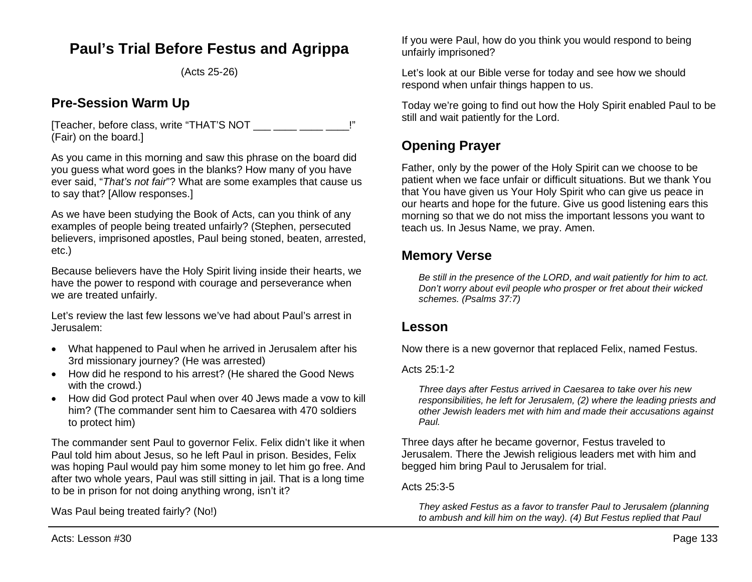# **Paul's Trial Before Festus and Agrippa**

(Acts 25-26)

## **Pre-Session Warm Up**

[Teacher, before class, write "THAT'S NOT \_\_\_ \_\_\_ \_\_\_ \_\_ (Fair) on the board.]

As you came in this morning and saw this phrase on the board did you guess what word goes in the blanks? How many of you have ever said, "*That's not fair*"? What are some examples that cause us to say that? [Allow responses.]

As we have been studying the Book of Acts, can you think of any examples of people being treated unfairly? (Stephen, persecuted believers, imprisoned apostles, Paul being stoned, beaten, arrested, etc.)

Because believers have the Holy Spirit living inside their hearts, we have the power to respond with courage and perseverance when we are treated unfairly.

Let's review the last few lessons we've had about Paul's arrest in Jerusalem:

- What happened to Paul when he arrived in Jerusalem after his 3rd missionary journey? (He was arrested)
- How did he respond to his arrest? (He shared the Good News with the crowd.)
- How did God protect Paul when over 40 Jews made a vow to kill him? (The commander sent him to Caesarea with 470 soldiers to protect him)

The commander sent Paul to governor Felix. Felix didn't like it when Paul told him about Jesus, so he left Paul in prison. Besides, Felix was hoping Paul would pay him some money to let him go free. And after two whole years, Paul was still sitting in jail. That is a long time to be in prison for not doing anything wrong, isn't it?

Was Paul being treated fairly? (No!)

If you were Paul, how do you think you would respond to being unfairly imprisoned?

Let's look at our Bible verse for today and see how we should respond when unfair things happen to us.

Today we're going to find out how the Holy Spirit enabled Paul to be still and wait patiently for the Lord.

## **Opening Prayer**

Father, only by the power of the Holy Spirit can we choose to be patient when we face unfair or difficult situations. But we thank You that You have given us Your Holy Spirit who can give us peace in our hearts and hope for the future. Give us good listening ears this morning so that we do not miss the important lessons you want to teach us. In Jesus Name, we pray. Amen.

## **Memory Verse**

*Be still in the presence of the LORD, and wait patiently for him to act. Don't worry about evil people who prosper or fret about their wicked schemes. (Psalms 37:7)*

## **Lesson**

Now there is a new governor that replaced Felix, named Festus.

Acts  $25:1-2$ 

*Three days after Festus arrived in Caesarea to take over his new responsibilities, he left for Jerusalem, (2) where the leading priests and other Jewish leaders met with him and made their accusations against Paul.* 

Three days after he became governor, Festus traveled to Jerusalem. There the Jewish religious leaders met with him and begged him bring Paul to Jerusalem for trial.

Acts 25:3-5

*They asked Festus as a favor to transfer Paul to Jerusalem (planning to ambush and kill him on the way). (4) But Festus replied that Paul*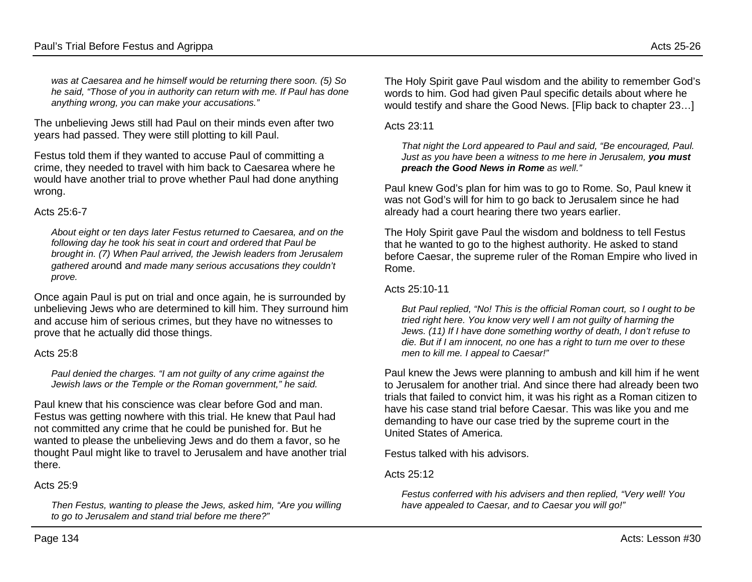*was at Caesarea and he himself would be returning there soon. (5) So he said, "Those of you in authority can return with me. If Paul has done anything wrong, you can make your accusations."*

The unbelieving Jews still had Paul on their minds even after two years had passed. They were still plotting to kill Paul.

Festus told them if they wanted to accuse Paul of committing a crime, they needed to travel with him back to Caesarea where he would have another trial to prove whether Paul had done anything wrong.

### Acts 25:6-7

*About eight or ten days later Festus returned to Caesarea, and on the following day he took his seat in court and ordered that Paul be brought in. (7) When Paul arrived, the Jewish leaders from Jerusalem gathered arou*nd a*nd made many serious accusations they couldn't prove.*

Once again Paul is put on trial and once again, he is surrounded by unbelieving Jews who are determined to kill him. They surround him and accuse him of serious crimes, but they have no witnesses to prove that he actually did those things.

## Acts 25:8

*Paul denied the charges. "I am not guilty of any crime against the Jewish laws or the Temple or the Roman government," he said.*

Paul knew that his conscience was clear before God and man. Festus was getting nowhere with this trial. He knew that Paul had not committed any crime that he could be punished for. But he wanted to please the unbelieving Jews and do them a favor, so he thought Paul might like to travel to Jerusalem and have another trial there.

## Acts 25:9

*Then Festus, wanting to please the Jews, asked him, "Are you willing to go to Jerusalem and stand trial before me there?"*

The Holy Spirit gave Paul wisdom and the ability to remember God's words to him. God had given Paul specific details about where he would testify and share the Good News. [Flip back to chapter 23…]

Acts  $23:11$ 

*That night the Lord appeared to Paul and said, "Be encouraged, Paul. Just as you have been a witness to me here in Jerusalem, you must preach the Good News in Rome as well."*

Paul knew God's plan for him was to go to Rome. So, Paul knew it was not God's will for him to go back to Jerusalem since he had already had a court hearing there two years earlier.

The Holy Spirit gave Paul the wisdom and boldness to tell Festus that he wanted to go to the highest authority. He asked to stand before Caesar, the supreme ruler of the Roman Empire who lived in Rome.

### Acts 25:10-11

*But Paul replied, "No! This is the official Roman court, so I ought to be tried right here. You know very well I am not guilty of harming the Jews. (11) If I have done something worthy of death, I don't refuse to die. But if I am innocent, no one has a right to turn me over to these men to kill me. I appeal to Caesar!"*

Paul knew the Jews were planning to ambush and kill him if he went to Jerusalem for another trial. And since there had already been two trials that failed to convict him, it was his right as a Roman citizen to have his case stand trial before Caesar. This was like you and me demanding to have our case tried by the supreme court in the United States of America.

Festus talked with his advisors.

## Acts 25:12

*Festus conferred with his advisers and then replied, "Very well! You have appealed to Caesar, and to Caesar you will go!"*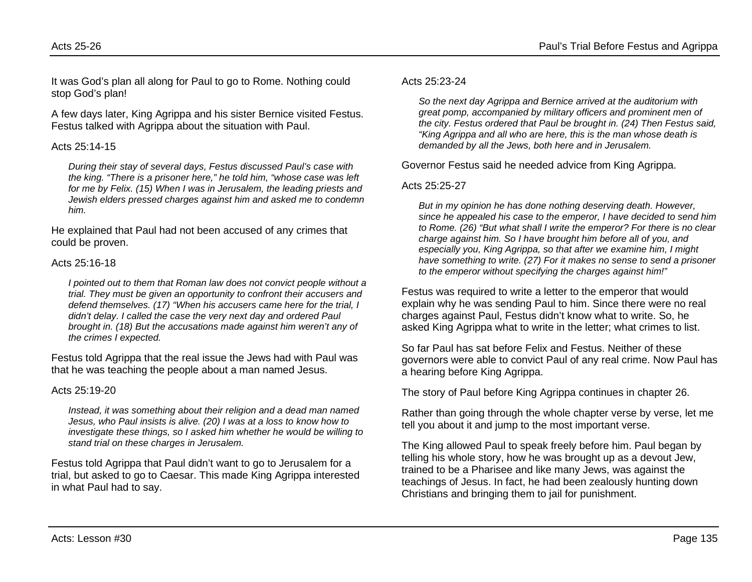It was God's plan all along for Paul to go to Rome. Nothing could stop God's plan!

A few days later, King Agrippa and his sister Bernice visited Festus. Festus talked with Agrippa about the situation with Paul.

## Acts 25:14-15

*During their stay of several days, Festus discussed Paul's case with the king. "There is a prisoner here," he told him, "whose case was left for me by Felix. (15) When I was in Jerusalem, the leading priests and Jewish elders pressed charges against him and asked me to condemn him.*

He explained that Paul had not been accused of any crimes that could be proven.

### Acts 25:16-18

*I pointed out to them that Roman law does not convict people without a trial. They must be given an opportunity to confront their accusers and defend themselves. (17) "When his accusers came here for the trial, I didn't delay. I called the case the very next day and ordered Paul brought in. (18) But the accusations made against him weren't any of the crimes I expected.*

Festus told Agrippa that the real issue the Jews had with Paul was that he was teaching the people about a man named Jesus.

## Acts 25:19-20

*Instead, it was something about their religion and a dead man named Jesus, who Paul insists is alive. (20) I was at a loss to know how to investigate these things, so I asked him whether he would be willing to stand trial on these charges in Jerusalem.*

Festus told Agrippa that Paul didn't want to go to Jerusalem for a trial, but asked to go to Caesar. This made King Agrippa interested in what Paul had to say.

## Acts 25:23-24

*So the next day Agrippa and Bernice arrived at the auditorium with great pomp, accompanied by military officers and prominent men of the city. Festus ordered that Paul be brought in. (24) Then Festus said, "King Agrippa and all who are here, this is the man whose death is demanded by all the Jews, both here and in Jerusalem.*

Governor Festus said he needed advice from King Agrippa.

## Acts 25:25-27

*But in my opinion he has done nothing deserving death. However, since he appealed his case to the emperor, I have decided to send him to Rome. (26) "But what shall I write the emperor? For there is no clear charge against him. So I have brought him before all of you, and especially you, King Agrippa, so that after we examine him, I might have something to write. (27) For it makes no sense to send a prisoner to the emperor without specifying the charges against him!"*

Festus was required to write a letter to the emperor that would explain why he was sending Paul to him. Since there were no real charges against Paul, Festus didn't know what to write. So, he asked King Agrippa what to write in the letter; what crimes to list.

So far Paul has sat before Felix and Festus. Neither of these governors were able to convict Paul of any real crime. Now Paul has a hearing before King Agrippa.

The story of Paul before King Agrippa continues in chapter 26.

Rather than going through the whole chapter verse by verse, let me tell you about it and jump to the most important verse.

The King allowed Paul to speak freely before him. Paul began by telling his whole story, how he was brought up as a devout Jew, trained to be a Pharisee and like many Jews, was against the teachings of Jesus. In fact, he had been zealously hunting down Christians and bringing them to jail for punishment.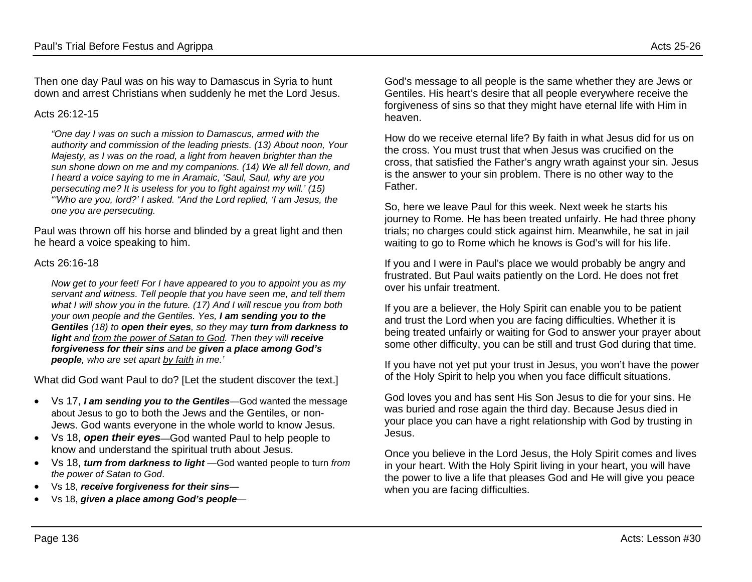Then one day Paul was on his way to Damascus in Syria to hunt down and arrest Christians when suddenly he met the Lord Jesus.

#### Acts 26:12-15

*"One day I was on such a mission to Damascus, armed with the authority and commission of the leading priests. (13) About noon, Your Majesty, as I was on the road, a light from heaven brighter than the sun shone down on me and my companions. (14) We all fell down, and I heard a voice saying to me in Aramaic, 'Saul, Saul, why are you persecuting me? It is useless for you to fight against my will.' (15) "'Who are you, lord?' I asked. "And the Lord replied, 'I am Jesus, the one you are persecuting.* 

Paul was thrown off his horse and blinded by a great light and then he heard a voice speaking to him.

#### Acts 26:16-18

*Now get to your feet! For I have appeared to you to appoint you as my servant and witness. Tell people that you have seen me, and tell them what I will show you in the future. (17) And I will rescue you from both your own people and the Gentiles. Yes, I am sending you to the Gentiles (18) to open their eyes, so they may turn from darkness to light* and from the power of Satan to God. Then they will receive *forgiveness for their sins and be given a place among God's people, who are set apart by faith in me.'*

What did God want Paul to do? [Let the student discover the text.]

- Vs 17, *I am sending you to the Gentiles*—God wanted the message about Jesus to go to both the Jews and the Gentiles, or non-Jews. God wants everyone in the whole world to know Jesus.
- Vs 18, *open their eyes*—God wanted Paul to help people to know and understand the spiritual truth about Jesus.
- Vs 18, *turn from darkness to light* —God wanted people to turn *from the power of Satan to God*.
- Vs 18, *receive forgiveness for their sins*—
- Vs 18, *given a place among God's people*—

God's message to all people is the same whether they are Jews or Gentiles. His heart's desire that all people everywhere receive the forgiveness of sins so that they might have eternal life with Him in heaven.

How do we receive eternal life? By faith in what Jesus did for us on the cross. You must trust that when Jesus was crucified on the cross, that satisfied the Father's angry wrath against your sin. Jesus is the answer to your sin problem. There is no other way to the Father.

So, here we leave Paul for this week. Next week he starts his journey to Rome. He has been treated unfairly. He had three phony trials; no charges could stick against him. Meanwhile, he sat in jail waiting to go to Rome which he knows is God's will for his life.

If you and I were in Paul's place we would probably be angry and frustrated. But Paul waits patiently on the Lord. He does not fret over his unfair treatment.

If you are a believer, the Holy Spirit can enable you to be patient and trust the Lord when you are facing difficulties. Whether it is being treated unfairly or waiting for God to answer your prayer about some other difficulty, you can be still and trust God during that time.

If you have not yet put your trust in Jesus, you won't have the power of the Holy Spirit to help you when you face difficult situations.

God loves you and has sent His Son Jesus to die for your sins. He was buried and rose again the third day. Because Jesus died in your place you can have a right relationship with God by trusting in Jesus.

Once you believe in the Lord Jesus, the Holy Spirit comes and lives in your heart. With the Holy Spirit living in your heart, you will have the power to live a life that pleases God and He will give you peace when you are facing difficulties.